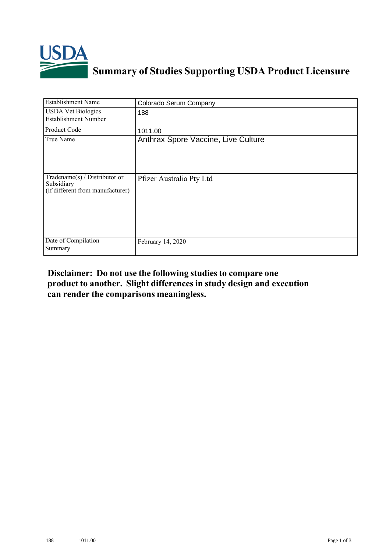

## **Summary of Studies Supporting USDA Product Licensure**

| <b>Establishment Name</b>                                                         | Colorado Serum Company              |
|-----------------------------------------------------------------------------------|-------------------------------------|
| <b>USDA Vet Biologics</b><br><b>Establishment Number</b>                          | 188                                 |
| Product Code                                                                      | 1011.00                             |
| True Name                                                                         | Anthrax Spore Vaccine, Live Culture |
| $Tradename(s) / Distributor$ or<br>Subsidiary<br>(if different from manufacturer) | Pfizer Australia Pty Ltd            |
| Date of Compilation<br>Summary                                                    | February 14, 2020                   |

## **Disclaimer: Do not use the following studiesto compare one product to another. Slight differencesin study design and execution can render the comparisons meaningless.**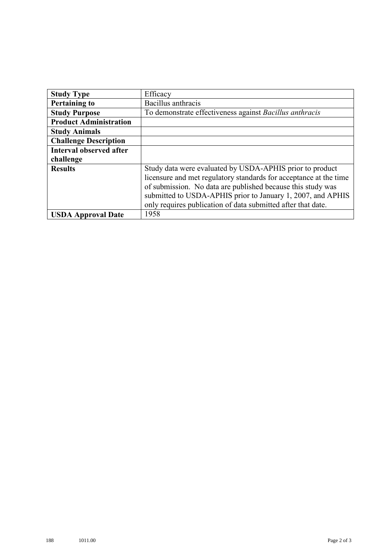| <b>Study Type</b>              | Efficacy                                                          |
|--------------------------------|-------------------------------------------------------------------|
| <b>Pertaining to</b>           | Bacillus anthracis                                                |
| <b>Study Purpose</b>           | To demonstrate effectiveness against Bacillus anthracis           |
| <b>Product Administration</b>  |                                                                   |
| <b>Study Animals</b>           |                                                                   |
| <b>Challenge Description</b>   |                                                                   |
| <b>Interval observed after</b> |                                                                   |
| challenge                      |                                                                   |
| <b>Results</b>                 | Study data were evaluated by USDA-APHIS prior to product          |
|                                | licensure and met regulatory standards for acceptance at the time |
|                                | of submission. No data are published because this study was       |
|                                | submitted to USDA-APHIS prior to January 1, 2007, and APHIS       |
|                                | only requires publication of data submitted after that date.      |
| <b>USDA Approval Date</b>      | 1958                                                              |